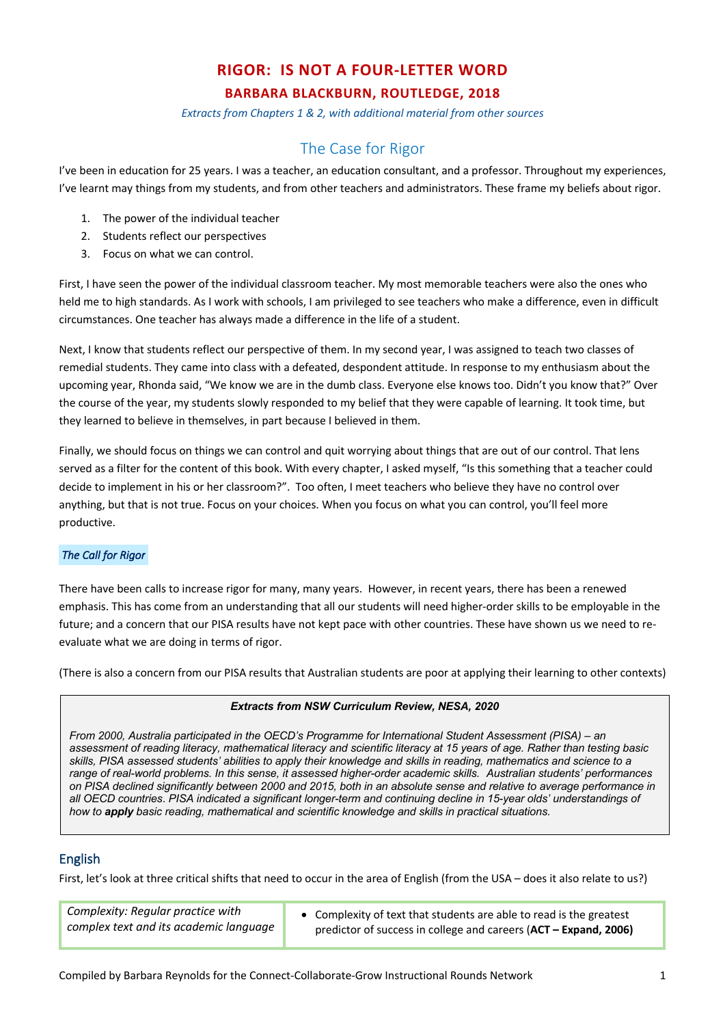# **RIGOR: IS NOT A FOUR-LETTER WORD**

# **BARBARA BLACKBURN, ROUTLEDGE, 2018**

*Extracts from Chapters 1 & 2, with additional material from other sources*

# The Case for Rigor

I've been in education for 25 years. I was a teacher, an education consultant, and a professor. Throughout my experiences, I've learnt may things from my students, and from other teachers and administrators. These frame my beliefs about rigor.

- 1. The power of the individual teacher
- 2. Students reflect our perspectives
- 3. Focus on what we can control.

First, I have seen the power of the individual classroom teacher. My most memorable teachers were also the ones who held me to high standards. As I work with schools, I am privileged to see teachers who make a difference, even in difficult circumstances. One teacher has always made a difference in the life of a student.

Next, I know that students reflect our perspective of them. In my second year, I was assigned to teach two classes of remedial students. They came into class with a defeated, despondent attitude. In response to my enthusiasm about the upcoming year, Rhonda said, "We know we are in the dumb class. Everyone else knows too. Didn't you know that?" Over the course of the year, my students slowly responded to my belief that they were capable of learning. It took time, but they learned to believe in themselves, in part because I believed in them.

Finally, we should focus on things we can control and quit worrying about things that are out of our control. That lens served as a filter for the content of this book. With every chapter, I asked myself, "Is this something that a teacher could decide to implement in his or her classroom?". Too often, I meet teachers who believe they have no control over anything, but that is not true. Focus on your choices. When you focus on what you can control, you'll feel more productive.

## *The Call for Rigor*

There have been calls to increase rigor for many, many years. However, in recent years, there has been a renewed emphasis. This has come from an understanding that all our students will need higher-order skills to be employable in the future; and a concern that our PISA results have not kept pace with other countries. These have shown us we need to reevaluate what we are doing in terms of rigor.

(There is also a concern from our PISA results that Australian students are poor at applying their learning to other contexts)

#### *Extracts from NSW Curriculum Review, NESA, 2020*

*From 2000, Australia participated in the OECD's Programme for International Student Assessment (PISA) – an assessment of reading literacy, mathematical literacy and scientific literacy at 15 years of age. Rather than testing basic skills, PISA assessed students' abilities to apply their knowledge and skills in reading, mathematics and science to a range of real-world problems. In this sense, it assessed higher-order academic skills. Australian students' performances on PISA declined significantly between 2000 and 2015, both in an absolute sense and relative to average performance in all OECD countries*. *PISA indicated a significant longer-term and continuing decline in 15-year olds' understandings of how to apply basic reading, mathematical and scientific knowledge and skills in practical situations.*

# English

First, let's look at three critical shifts that need to occur in the area of English (from the USA – does it also relate to us?)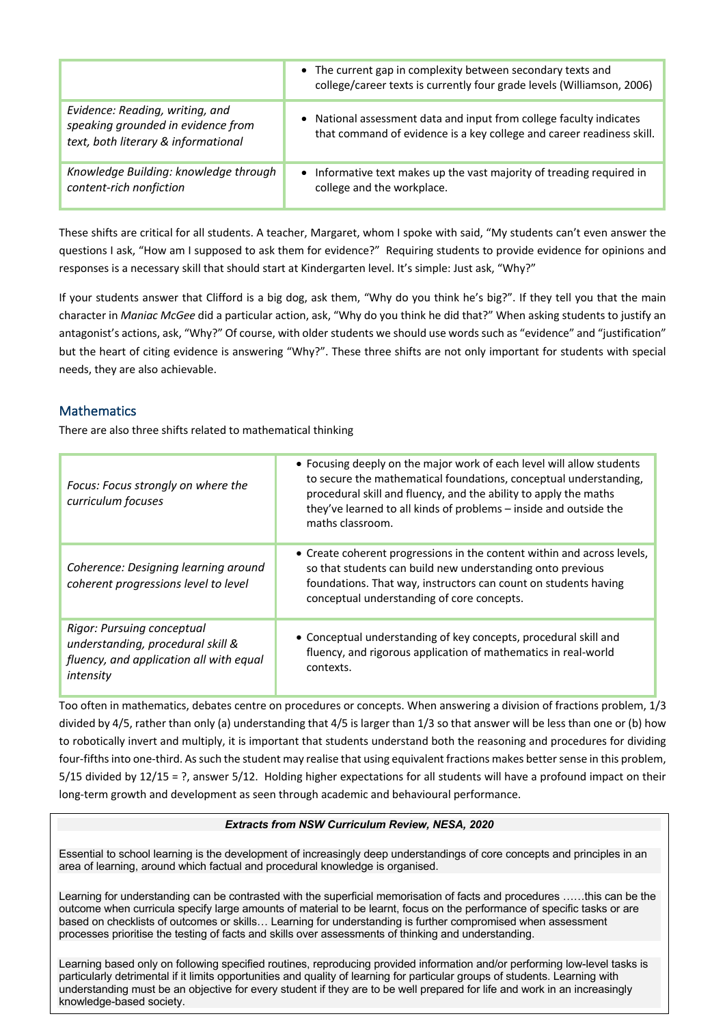|                                                                                                              | • The current gap in complexity between secondary texts and<br>college/career texts is currently four grade levels (Williamson, 2006)        |
|--------------------------------------------------------------------------------------------------------------|----------------------------------------------------------------------------------------------------------------------------------------------|
| Evidence: Reading, writing, and<br>speaking grounded in evidence from<br>text, both literary & informational | • National assessment data and input from college faculty indicates<br>that command of evidence is a key college and career readiness skill. |
| Knowledge Building: knowledge through<br>content-rich nonfiction                                             | • Informative text makes up the vast majority of treading required in<br>college and the workplace.                                          |

These shifts are critical for all students. A teacher, Margaret, whom I spoke with said, "My students can't even answer the questions I ask, "How am I supposed to ask them for evidence?" Requiring students to provide evidence for opinions and responses is a necessary skill that should start at Kindergarten level. It's simple: Just ask, "Why?"

If your students answer that Clifford is a big dog, ask them, "Why do you think he's big?". If they tell you that the main character in *Maniac McGee* did a particular action, ask, "Why do you think he did that?" When asking students to justify an antagonist's actions, ask, "Why?" Of course, with older students we should use words such as "evidence" and "justification" but the heart of citing evidence is answering "Why?". These three shifts are not only important for students with special needs, they are also achievable.

# **Mathematics**

There are also three shifts related to mathematical thinking

| Focus: Focus strongly on where the<br>curriculum focuses                                                                | • Focusing deeply on the major work of each level will allow students<br>to secure the mathematical foundations, conceptual understanding,<br>procedural skill and fluency, and the ability to apply the maths<br>they've learned to all kinds of problems - inside and outside the<br>maths classroom. |
|-------------------------------------------------------------------------------------------------------------------------|---------------------------------------------------------------------------------------------------------------------------------------------------------------------------------------------------------------------------------------------------------------------------------------------------------|
| Coherence: Designing learning around<br>coherent progressions level to level                                            | • Create coherent progressions in the content within and across levels,<br>so that students can build new understanding onto previous<br>foundations. That way, instructors can count on students having<br>conceptual understanding of core concepts.                                                  |
| Rigor: Pursuing conceptual<br>understanding, procedural skill &<br>fluency, and application all with equal<br>intensity | • Conceptual understanding of key concepts, procedural skill and<br>fluency, and rigorous application of mathematics in real-world<br>contexts.                                                                                                                                                         |

Too often in mathematics, debates centre on procedures or concepts. When answering a division of fractions problem, 1/3 divided by 4/5, rather than only (a) understanding that 4/5 is larger than 1/3 so that answer will be less than one or (b) how to robotically invert and multiply, it is important that students understand both the reasoning and procedures for dividing four-fifths into one-third. As such the student may realise that using equivalent fractions makes better sense in this problem, 5/15 divided by 12/15 = ?, answer 5/12. Holding higher expectations for all students will have a profound impact on their long-term growth and development as seen through academic and behavioural performance.

## *Extracts from NSW Curriculum Review, NESA, 2020*

Essential to school learning is the development of increasingly deep understandings of core concepts and principles in an area of learning, around which factual and procedural knowledge is organised.

Learning for understanding can be contrasted with the superficial memorisation of facts and procedures ……this can be the outcome when curricula specify large amounts of material to be learnt, focus on the performance of specific tasks or are based on checklists of outcomes or skills… Learning for understanding is further compromised when assessment processes prioritise the testing of facts and skills over assessments of thinking and understanding.

particularly detrimental if it limits opportunities and quality of learning for particular groups of students. Learning with Learning based only on following specified routines, reproducing provided information and/or performing low-level tasks is understanding must be an objective for every student if they are to be well prepared for life and work in an increasingly knowledge-based society.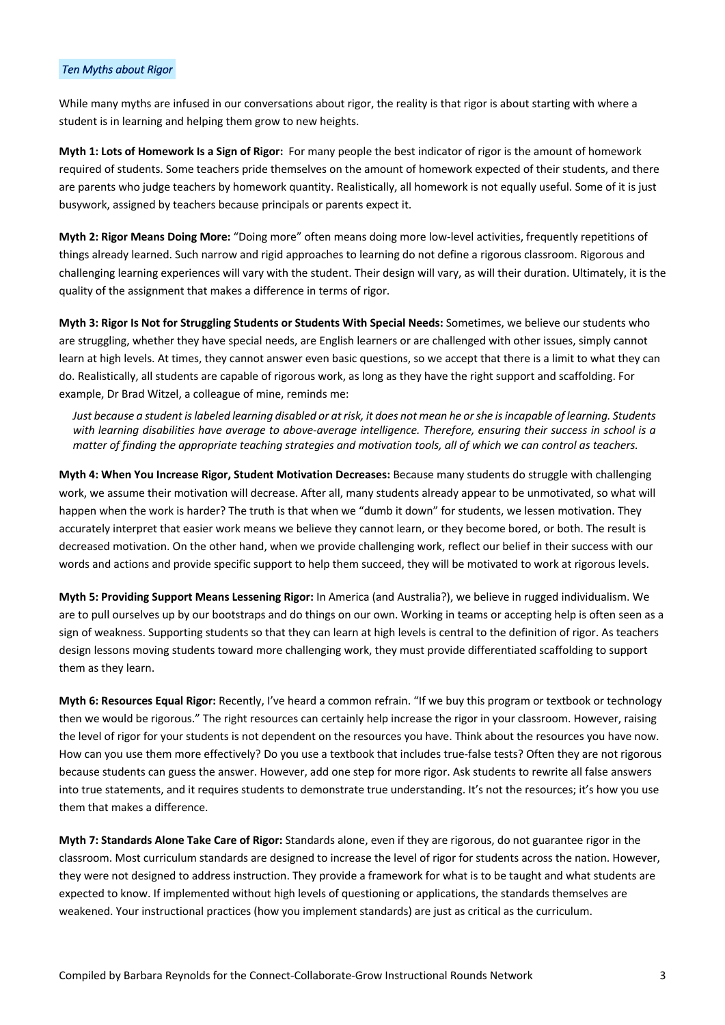#### *Ten Myths about Rigor*

While many myths are infused in our conversations about rigor, the reality is that rigor is about starting with where a student is in learning and helping them grow to new heights.

**Myth 1: Lots of Homework Is a Sign of Rigor:** For many people the best indicator of rigor is the amount of homework required of students. Some teachers pride themselves on the amount of homework expected of their students, and there are parents who judge teachers by homework quantity. Realistically, all homework is not equally useful. Some of it is just busywork, assigned by teachers because principals or parents expect it.

**Myth 2: Rigor Means Doing More:** "Doing more" often means doing more low-level activities, frequently repetitions of things already learned. Such narrow and rigid approaches to learning do not define a rigorous classroom. Rigorous and challenging learning experiences will vary with the student. Their design will vary, as will their duration. Ultimately, it is the quality of the assignment that makes a difference in terms of rigor.

**Myth 3: Rigor Is Not for Struggling Students or Students With Special Needs:** Sometimes, we believe our students who are struggling, whether they have special needs, are English learners or are challenged with other issues, simply cannot learn at high levels. At times, they cannot answer even basic questions, so we accept that there is a limit to what they can do. Realistically, all students are capable of rigorous work, as long as they have the right support and scaffolding. For example, Dr Brad Witzel, a colleague of mine, reminds me:

*Just because a student is labeled learning disabled or at risk, it does not mean he or she is incapable of learning. Students with learning disabilities have average to above-average intelligence. Therefore, ensuring their success in school is a matter of finding the appropriate teaching strategies and motivation tools, all of which we can control as teachers.* 

**Myth 4: When You Increase Rigor, Student Motivation Decreases:** Because many students do struggle with challenging work, we assume their motivation will decrease. After all, many students already appear to be unmotivated, so what will happen when the work is harder? The truth is that when we "dumb it down" for students, we lessen motivation. They accurately interpret that easier work means we believe they cannot learn, or they become bored, or both. The result is decreased motivation. On the other hand, when we provide challenging work, reflect our belief in their success with our words and actions and provide specific support to help them succeed, they will be motivated to work at rigorous levels.

**Myth 5: Providing Support Means Lessening Rigor:** In America (and Australia?), we believe in rugged individualism. We are to pull ourselves up by our bootstraps and do things on our own. Working in teams or accepting help is often seen as a sign of weakness. Supporting students so that they can learn at high levels is central to the definition of rigor. As teachers design lessons moving students toward more challenging work, they must provide differentiated scaffolding to support them as they learn.

**Myth 6: Resources Equal Rigor:** Recently, I've heard a common refrain. "If we buy this program or textbook or technology then we would be rigorous." The right resources can certainly help increase the rigor in your classroom. However, raising the level of rigor for your students is not dependent on the resources you have. Think about the resources you have now. How can you use them more effectively? Do you use a textbook that includes true-false tests? Often they are not rigorous because students can guess the answer. However, add one step for more rigor. Ask students to rewrite all false answers into true statements, and it requires students to demonstrate true understanding. It's not the resources; it's how you use them that makes a difference.

**Myth 7: Standards Alone Take Care of Rigor:** Standards alone, even if they are rigorous, do not guarantee rigor in the classroom. Most curriculum standards are designed to increase the level of rigor for students across the nation. However, they were not designed to address instruction. They provide a framework for what is to be taught and what students are expected to know. If implemented without high levels of questioning or applications, the standards themselves are weakened. Your instructional practices (how you implement standards) are just as critical as the curriculum.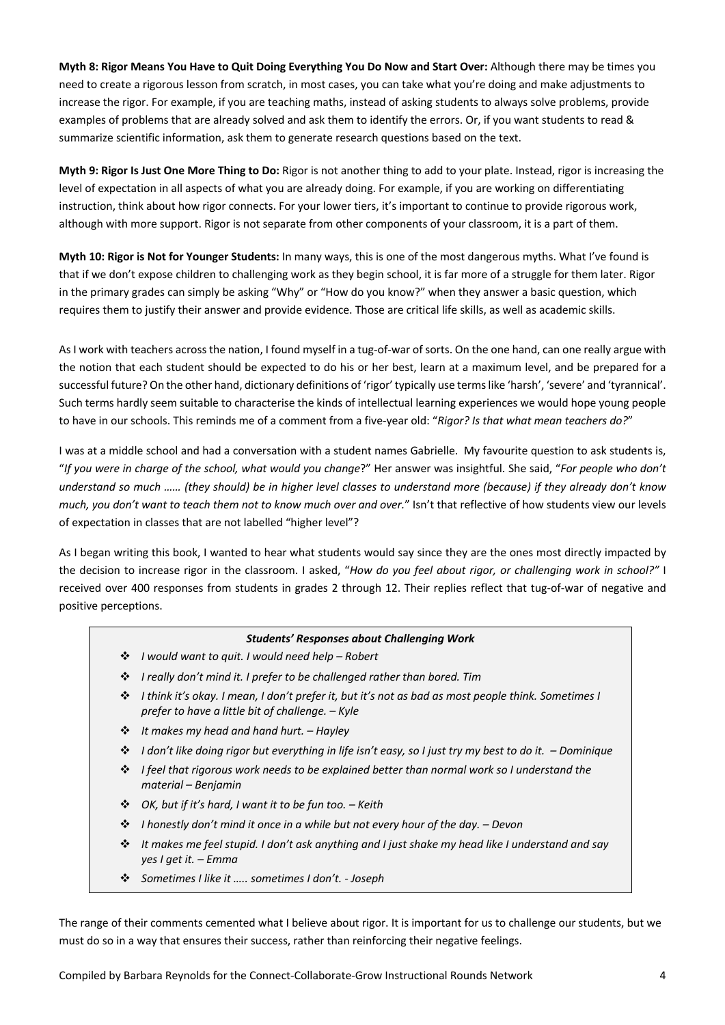**Myth 8: Rigor Means You Have to Quit Doing Everything You Do Now and Start Over:** Although there may be times you need to create a rigorous lesson from scratch, in most cases, you can take what you're doing and make adjustments to increase the rigor. For example, if you are teaching maths, instead of asking students to always solve problems, provide examples of problems that are already solved and ask them to identify the errors. Or, if you want students to read & summarize scientific information, ask them to generate research questions based on the text.

**Myth 9: Rigor Is Just One More Thing to Do:** Rigor is not another thing to add to your plate. Instead, rigor is increasing the level of expectation in all aspects of what you are already doing. For example, if you are working on differentiating instruction, think about how rigor connects. For your lower tiers, it's important to continue to provide rigorous work, although with more support. Rigor is not separate from other components of your classroom, it is a part of them.

**Myth 10: Rigor is Not for Younger Students:** In many ways, this is one of the most dangerous myths. What I've found is that if we don't expose children to challenging work as they begin school, it is far more of a struggle for them later. Rigor in the primary grades can simply be asking "Why" or "How do you know?" when they answer a basic question, which requires them to justify their answer and provide evidence. Those are critical life skills, as well as academic skills.

As I work with teachers across the nation, I found myself in a tug-of-war of sorts. On the one hand, can one really argue with the notion that each student should be expected to do his or her best, learn at a maximum level, and be prepared for a successful future? On the other hand, dictionary definitions of 'rigor' typically use terms like 'harsh', 'severe' and 'tyrannical'. Such terms hardly seem suitable to characterise the kinds of intellectual learning experiences we would hope young people to have in our schools. This reminds me of a comment from a five-year old: "*Rigor? Is that what mean teachers do?*"

I was at a middle school and had a conversation with a student names Gabrielle. My favourite question to ask students is, "*If you were in charge of the school, what would you change*?" Her answer was insightful. She said, "*For people who don't understand so much …… (they should) be in higher level classes to understand more (because) if they already don't know much, you don't want to teach them not to know much over and over.*" Isn't that reflective of how students view our levels of expectation in classes that are not labelled "higher level"?

As I began writing this book, I wanted to hear what students would say since they are the ones most directly impacted by the decision to increase rigor in the classroom. I asked, "*How do you feel about rigor, or challenging work in school?"* I received over 400 responses from students in grades 2 through 12. Their replies reflect that tug-of-war of negative and positive perceptions.

#### *Students' Responses about Challenging Work*

- v *I would want to quit. I would need help – Robert*
- v *I really don't mind it. I prefer to be challenged rather than bored. Tim*
- v *I think it's okay. I mean, I don't prefer it, but it's not as bad as most people think. Sometimes I prefer to have a little bit of challenge. – Kyle*
- v *It makes my head and hand hurt. – Hayley*
- v *I don't like doing rigor but everything in life isn't easy, so I just try my best to do it. – Dominique*
- v *I feel that rigorous work needs to be explained better than normal work so I understand the material – Benjamin*
- v *OK, but if it's hard, I want it to be fun too. – Keith*
- v *I honestly don't mind it once in a while but not every hour of the day. – Devon*
- v *It makes me feel stupid. I don't ask anything and I just shake my head like I understand and say yes I get it. – Emma*
- v *Sometimes I like it ….. sometimes I don't. - Joseph*

The range of their comments cemented what I believe about rigor. It is important for us to challenge our students, but we must do so in a way that ensures their success, rather than reinforcing their negative feelings.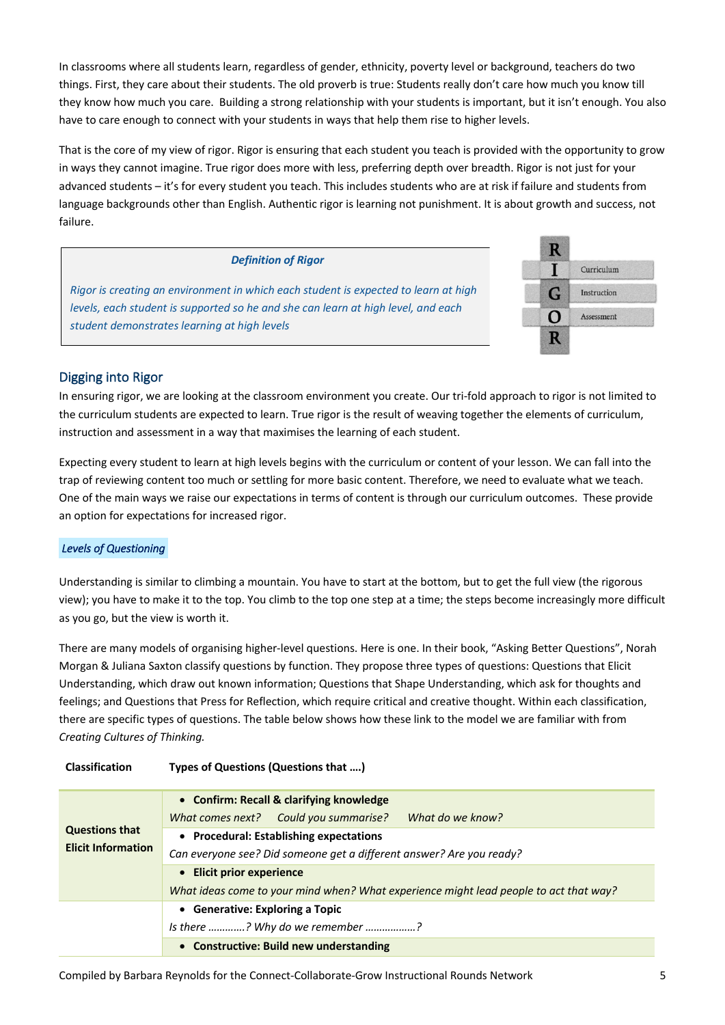In classrooms where all students learn, regardless of gender, ethnicity, poverty level or background, teachers do two things. First, they care about their students. The old proverb is true: Students really don't care how much you know till they know how much you care. Building a strong relationship with your students is important, but it isn't enough. You also have to care enough to connect with your students in ways that help them rise to higher levels.

That is the core of my view of rigor. Rigor is ensuring that each student you teach is provided with the opportunity to grow in ways they cannot imagine. True rigor does more with less, preferring depth over breadth. Rigor is not just for your advanced students – it's for every student you teach. This includes students who are at risk if failure and students from language backgrounds other than English. Authentic rigor is learning not punishment. It is about growth and success, not failure.

### *Definition of Rigor*



*Rigor is creating an environment in which each student is expected to learn at high levels, each student is supported so he and she can learn at high level, and each student demonstrates learning at high levels*

# Digging into Rigor

In ensuring rigor, we are looking at the classroom environment you create. Our tri-fold approach to rigor is not limited to the curriculum students are expected to learn. True rigor is the result of weaving together the elements of curriculum, instruction and assessment in a way that maximises the learning of each student.

Expecting every student to learn at high levels begins with the curriculum or content of your lesson. We can fall into the trap of reviewing content too much or settling for more basic content. Therefore, we need to evaluate what we teach. One of the main ways we raise our expectations in terms of content is through our curriculum outcomes. These provide an option for expectations for increased rigor.

## *Levels of Questioning*

Understanding is similar to climbing a mountain. You have to start at the bottom, but to get the full view (the rigorous view); you have to make it to the top. You climb to the top one step at a time; the steps become increasingly more difficult as you go, but the view is worth it.

There are many models of organising higher-level questions. Here is one. In their book, "Asking Better Questions", Norah Morgan & Juliana Saxton classify questions by function. They propose three types of questions: Questions that Elicit Understanding, which draw out known information; Questions that Shape Understanding, which ask for thoughts and feelings; and Questions that Press for Reflection, which require critical and creative thought. Within each classification, there are specific types of questions. The table below shows how these link to the model we are familiar with from *Creating Cultures of Thinking.*

| <b>Questions that</b><br><b>Elicit Information</b> | • Confirm: Recall & clarifying knowledge                                              |  |  |  |  |
|----------------------------------------------------|---------------------------------------------------------------------------------------|--|--|--|--|
|                                                    | What do we know?<br>What comes next? Could you summarise?                             |  |  |  |  |
|                                                    | • Procedural: Establishing expectations                                               |  |  |  |  |
|                                                    | Can everyone see? Did someone get a different answer? Are you ready?                  |  |  |  |  |
|                                                    | • Elicit prior experience                                                             |  |  |  |  |
|                                                    | What ideas come to your mind when? What experience might lead people to act that way? |  |  |  |  |
|                                                    | • Generative: Exploring a Topic                                                       |  |  |  |  |
|                                                    | Is there ? Why do we remember ?                                                       |  |  |  |  |
|                                                    | • Constructive: Build new understanding                                               |  |  |  |  |

**Classification Types of Questions (Questions that ….)**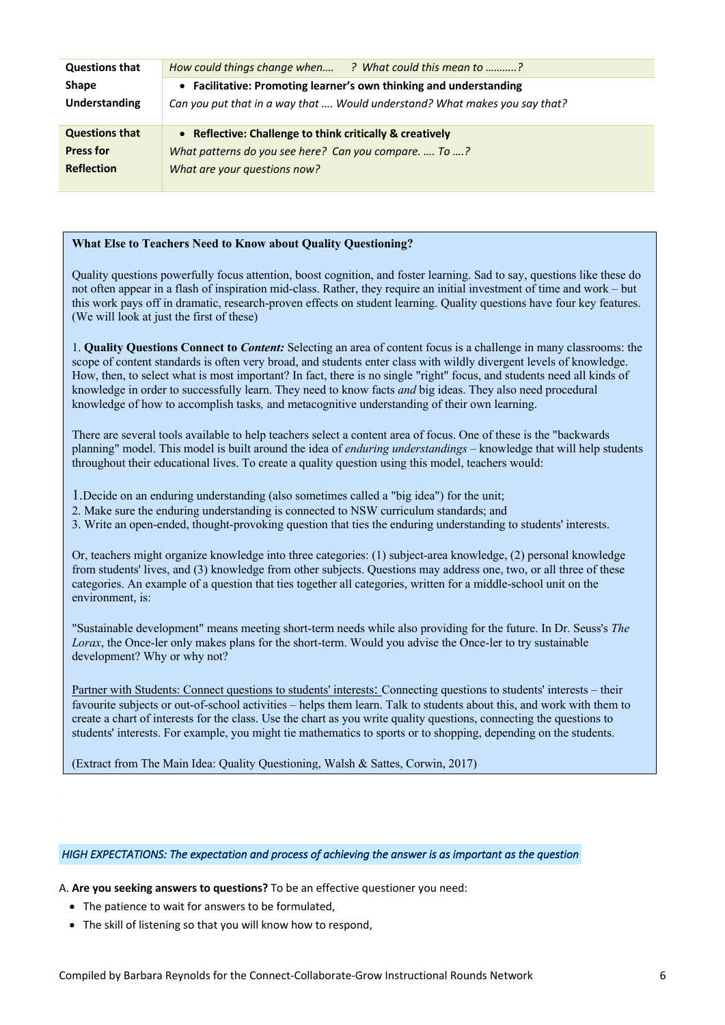| <b>Questions that</b> | How could things change when ? What could this mean to ?                   |  |  |  |  |
|-----------------------|----------------------------------------------------------------------------|--|--|--|--|
| <b>Shape</b>          | • Facilitative: Promoting learner's own thinking and understanding         |  |  |  |  |
| Understanding         | Can you put that in a way that  Would understand? What makes you say that? |  |  |  |  |
| <b>Questions that</b> | • Reflective: Challenge to think critically & creatively                   |  |  |  |  |
| <b>Press for</b>      | What patterns do you see here? Can you compare.  To ?                      |  |  |  |  |
| <b>Reflection</b>     | What are your questions now?                                               |  |  |  |  |
|                       |                                                                            |  |  |  |  |

#### **What Else to Teachers Need to Know about Quality Questioning?**

Quality questions powerfully focus attention, boost cognition, and foster learning. Sad to say, questions like these do not often appear in a flash of inspiration mid-class. Rather, they require an initial investment of time and work – but this work pays off in dramatic, research-proven effects on student learning. Quality questions have four key features. (We will look at just the first of these)

1. **Quality Questions Connect to** *Content:* Selecting an area of content focus is a challenge in many classrooms: the scope of content standards is often very broad, and students enter class with wildly divergent levels of knowledge. How, then, to select what is most important? In fact, there is no single "right" focus, and students need all kinds of knowledge in order to successfully learn. They need to know facts *and* big ideas. They also need procedural knowledge of how to accomplish tasks*,* and metacognitive understanding of their own learning.

There are several tools available to help teachers select a content area of focus. One of these is the "backwards planning" model. This model is built around the idea of *enduring understandings* – knowledge that will help students throughout their educational lives. To create a quality question using this model, teachers would:

1.Decide on an enduring understanding (also sometimes called a "big idea") for the unit;

2. Make sure the enduring understanding is connected to NSW curriculum standards; and

3. Write an open-ended, thought-provoking question that ties the enduring understanding to students' interests.

Or, teachers might organize knowledge into three categories: (1) subject-area knowledge, (2) personal knowledge from students' lives, and (3) knowledge from other subjects. Questions may address one, two, or all three of these categories. An example of a question that ties together all categories, written for a middle-school unit on the environment, is:

"Sustainable development" means meeting short-term needs while also providing for the future. In Dr. Seuss's *The Lorax*, the Once-ler only makes plans for the short-term. Would you advise the Once-ler to try sustainable development? Why or why not?

Partner with Students: Connect questions to students' interests: Connecting questions to students' interests – their favourite subjects or out-of-school activities – helps them learn. Talk to students about this, and work with them to create a chart of interests for the class. Use the chart as you write quality questions, connecting the questions to students' interests. For example, you might tie mathematics to sports or to shopping, depending on the students.

(Extract from The Main Idea: Quality Questioning, Walsh & Sattes, Corwin, 2017)

#### *HIGH EXPECTATIONS: The expectation and process of achieving the answer is as important as the question*

A. **Are you seeking answers to questions?** To be an effective questioner you need:

- The patience to wait for answers to be formulated,
- The skill of listening so that you will know how to respond,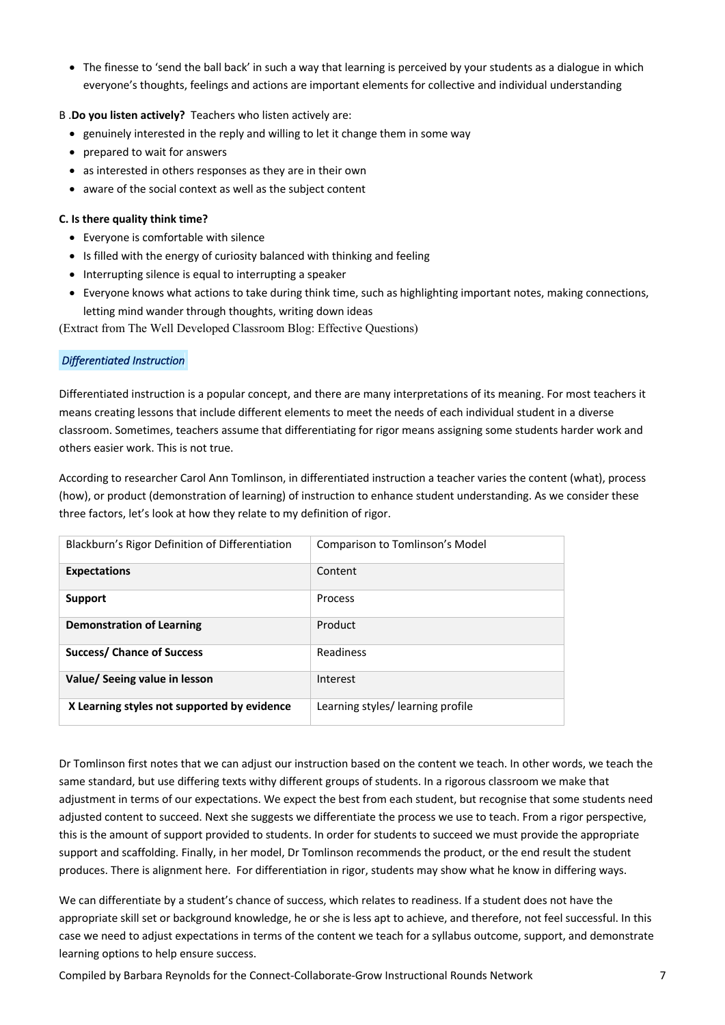• The finesse to 'send the ball back' in such a way that learning is perceived by your students as a dialogue in which everyone's thoughts, feelings and actions are important elements for collective and individual understanding

### B .**Do you listen actively?** Teachers who listen actively are:

- genuinely interested in the reply and willing to let it change them in some way
- prepared to wait for answers
- as interested in others responses as they are in their own
- aware of the social context as well as the subject content

#### **C. Is there quality think time?**

- Everyone is comfortable with silence
- Is filled with the energy of curiosity balanced with thinking and feeling
- Interrupting silence is equal to interrupting a speaker
- Everyone knows what actions to take during think time, such as highlighting important notes, making connections, letting mind wander through thoughts, writing down ideas

(Extract from The Well Developed Classroom Blog: Effective Questions)

### *Differentiated Instruction*

Differentiated instruction is a popular concept, and there are many interpretations of its meaning. For most teachers it means creating lessons that include different elements to meet the needs of each individual student in a diverse classroom. Sometimes, teachers assume that differentiating for rigor means assigning some students harder work and others easier work. This is not true.

According to researcher Carol Ann Tomlinson, in differentiated instruction a teacher varies the content (what), process (how), or product (demonstration of learning) of instruction to enhance student understanding. As we consider these three factors, let's look at how they relate to my definition of rigor.

| Blackburn's Rigor Definition of Differentiation | Comparison to Tomlinson's Model   |
|-------------------------------------------------|-----------------------------------|
| <b>Expectations</b>                             | Content                           |
| Support                                         | <b>Process</b>                    |
| <b>Demonstration of Learning</b>                | Product                           |
| <b>Success/ Chance of Success</b>               | <b>Readiness</b>                  |
| Value/ Seeing value in lesson                   | Interest                          |
| X Learning styles not supported by evidence     | Learning styles/ learning profile |

Dr Tomlinson first notes that we can adjust our instruction based on the content we teach. In other words, we teach the same standard, but use differing texts withy different groups of students. In a rigorous classroom we make that adjustment in terms of our expectations. We expect the best from each student, but recognise that some students need adjusted content to succeed. Next she suggests we differentiate the process we use to teach. From a rigor perspective, this is the amount of support provided to students. In order for students to succeed we must provide the appropriate support and scaffolding. Finally, in her model, Dr Tomlinson recommends the product, or the end result the student produces. There is alignment here. For differentiation in rigor, students may show what he know in differing ways.

We can differentiate by a student's chance of success, which relates to readiness. If a student does not have the appropriate skill set or background knowledge, he or she is less apt to achieve, and therefore, not feel successful. In this case we need to adjust expectations in terms of the content we teach for a syllabus outcome, support, and demonstrate learning options to help ensure success.

Compiled by Barbara Reynolds for the Connect-Collaborate-Grow Instructional Rounds Network 7